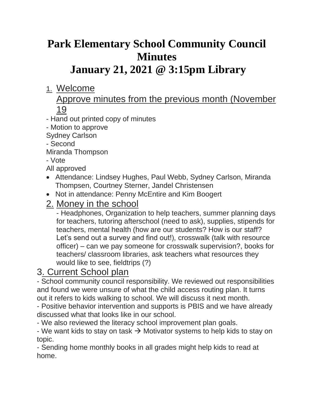# **Park Elementary School Community Council Minutes**

## **January 21, 2021 @ 3:15pm Library**

## 1. Welcome

#### Approve minutes from the previous month (November 19

- Hand out printed copy of minutes
- Motion to approve
- Sydney Carlson
- Second
- Miranda Thompson
- Vote

All approved

- Attendance: Lindsey Hughes, Paul Webb, Sydney Carlson, Miranda Thompsen, Courtney Sterner, Jandel Christensen
- Not in attendance: Penny McEntire and Kim Boogert

## 2. Money in the school

- Headphones, Organization to help teachers, summer planning days for teachers, tutoring afterschool (need to ask), supplies, stipends for teachers, mental health (how are our students? How is our staff? Let's send out a survey and find out!), crosswalk (talk with resource officer) – can we pay someone for crosswalk supervision?, books for teachers/ classroom libraries, ask teachers what resources they would like to see, fieldtrips (?)

## 3. Current School plan

- School community council responsibility. We reviewed out responsibilities and found we were unsure of what the child access routing plan. It turns out it refers to kids walking to school. We will discuss it next month.

- Positive behavior intervention and supports is PBIS and we have already discussed what that looks like in our school.

- We also reviewed the literacy school improvement plan goals.

- We want kids to stay on task  $\rightarrow$  Motivator systems to help kids to stay on topic.

- Sending home monthly books in all grades might help kids to read at home.